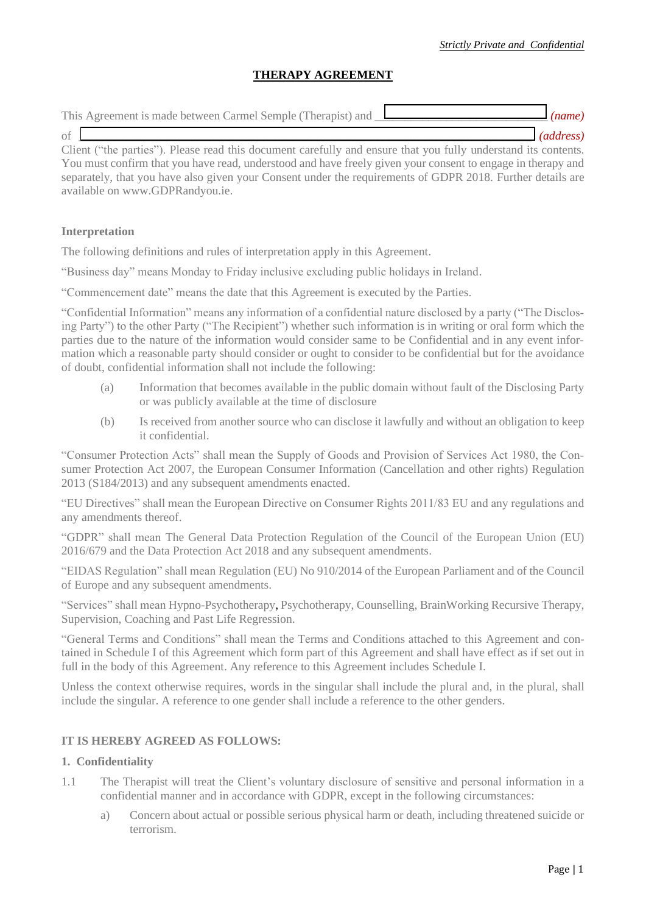# **THERAPY AGREEMENT**

| This Agreement is made between Carmel Semple (Therapist) and <u>Learn</u>                                      | $\lceil$ (name) |
|----------------------------------------------------------------------------------------------------------------|-----------------|
| of                                                                                                             | (address)       |
| Client ("the parties"). Please read this document carefully and ensure that you fully understand its contents. |                 |

You must confirm that you have read, understood and have freely given your consent to engage in therapy and separately, that you have also given your Consent under the requirements of GDPR 2018. Further details are available on [www.GDPRandyou.ie.](http://www.gdprandyou.ie/)

### **Interpretation**

The following definitions and rules of interpretation apply in this Agreement.

"Business day" means Monday to Friday inclusive excluding public holidays in Ireland.

"Commencement date" means the date that this Agreement is executed by the Parties.

"Confidential Information" means any information of a confidential nature disclosed by a party ("The Disclosing Party") to the other Party ("The Recipient") whether such information is in writing or oral form which the parties due to the nature of the information would consider same to be Confidential and in any event information which a reasonable party should consider or ought to consider to be confidential but for the avoidance of doubt, confidential information shall not include the following:

- (a) Information that becomes available in the public domain without fault of the Disclosing Party or was publicly available at the time of disclosure
- (b) Is received from another source who can disclose it lawfully and without an obligation to keep it confidential.

"Consumer Protection Acts" shall mean the Supply of Goods and Provision of Services Act 1980, the Consumer Protection Act 2007, the European Consumer Information (Cancellation and other rights) Regulation 2013 (S184/2013) and any subsequent amendments enacted.

"EU Directives" shall mean the European Directive on Consumer Rights 2011/83 EU and any regulations and any amendments thereof.

"GDPR" shall mean The General Data Protection Regulation of the Council of the European Union (EU) 2016/679 and the Data Protection Act 2018 and any subsequent amendments.

"EIDAS Regulation" shall mean Regulation (EU) No 910/2014 of the European Parliament and of the Council of Europe and any subsequent amendments.

"Services" shall mean Hypno-Psychotherapy, Psychotherapy, Counselling, BrainWorking Recursive Therapy, Supervision, Coaching and Past Life Regression.

"General Terms and Conditions" shall mean the Terms and Conditions attached to this Agreement and contained in Schedule I of this Agreement which form part of this Agreement and shall have effect as if set out in full in the body of this Agreement. Any reference to this Agreement includes Schedule I.

Unless the context otherwise requires, words in the singular shall include the plural and, in the plural, shall include the singular. A reference to one gender shall include a reference to the other genders.

## **IT IS HEREBY AGREED AS FOLLOWS:**

#### **1. Confidentiality**

- 1.1 The Therapist will treat the Client's voluntary disclosure of sensitive and personal information in a confidential manner and in accordance with GDPR, except in the following circumstances:
	- a) Concern about actual or possible serious physical harm or death, including threatened suicide or terrorism.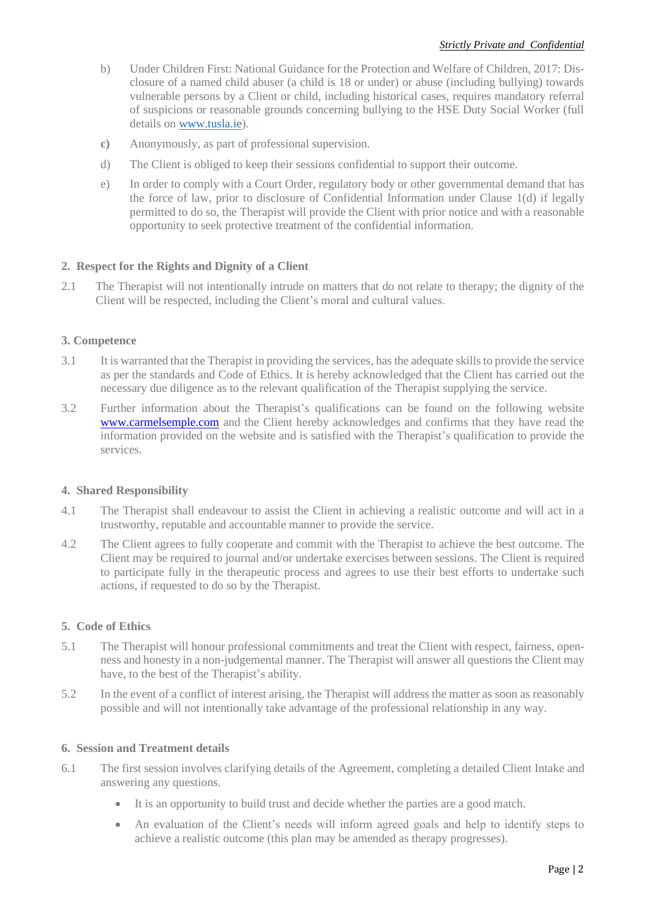- b) Under Children First: National Guidance for the Protection and Welfare of Children, 2017: Disclosure of a named child abuser (a child is 18 or under) or abuse (including bullying) towards vulnerable persons by a Client or child, including historical cases, requires mandatory referral of suspicions or reasonable grounds concerning bullying to the HSE Duty Social Worker (full details on [www.tusla.ie\)](http://www.tusla.ie/).
- **c)** Anonymously, as part of professional supervision.
- d) The Client is obliged to keep their sessions confidential to support their outcome.
- e) In order to comply with a Court Order, regulatory body or other governmental demand that has the force of law, prior to disclosure of Confidential Information under Clause 1(d) if legally permitted to do so, the Therapist will provide the Client with prior notice and with a reasonable opportunity to seek protective treatment of the confidential information.

## **2. Respect for the Rights and Dignity of a Client**

2.1 The Therapist will not intentionally intrude on matters that do not relate to therapy; the dignity of the Client will be respected, including the Client's moral and cultural values.

## **3. Competence**

- 3.1 It is warranted that the Therapist in providing the services, has the adequate skills to provide the service as per the standards and Code of Ethics. It is hereby acknowledged that the Client has carried out the necessary due diligence as to the relevant qualification of the Therapist supplying the service.
- 3.2 Further information about the Therapist's qualifications can be found on the following website [www.carmelsemple.com](http://www.carmelsemple.com/) and the Client hereby acknowledges and confirms that they have read the information provided on the website and is satisfied with the Therapist's qualification to provide the services.

## **4. Shared Responsibility**

- 4.1 The Therapist shall endeavour to assist the Client in achieving a realistic outcome and will act in a trustworthy, reputable and accountable manner to provide the service.
- 4.2 The Client agrees to fully cooperate and commit with the Therapist to achieve the best outcome. The Client may be required to journal and/or undertake exercises between sessions. The Client is required to participate fully in the therapeutic process and agrees to use their best efforts to undertake such actions, if requested to do so by the Therapist.

## **5. Code of Ethics**

- 5.1 The Therapist will honour professional commitments and treat the Client with respect, fairness, openness and honesty in a non-judgemental manner. The Therapist will answer all questions the Client may have, to the best of the Therapist's ability.
- 5.2 In the event of a conflict of interest arising, the Therapist will address the matter as soon as reasonably possible and will not intentionally take advantage of the professional relationship in any way.

## **6. Session and Treatment details**

- 6.1 The first session involves clarifying details of the Agreement, completing a detailed Client Intake and answering any questions.
	- It is an opportunity to build trust and decide whether the parties are a good match.
	- An evaluation of the Client's needs will inform agreed goals and help to identify steps to achieve a realistic outcome (this plan may be amended as therapy progresses).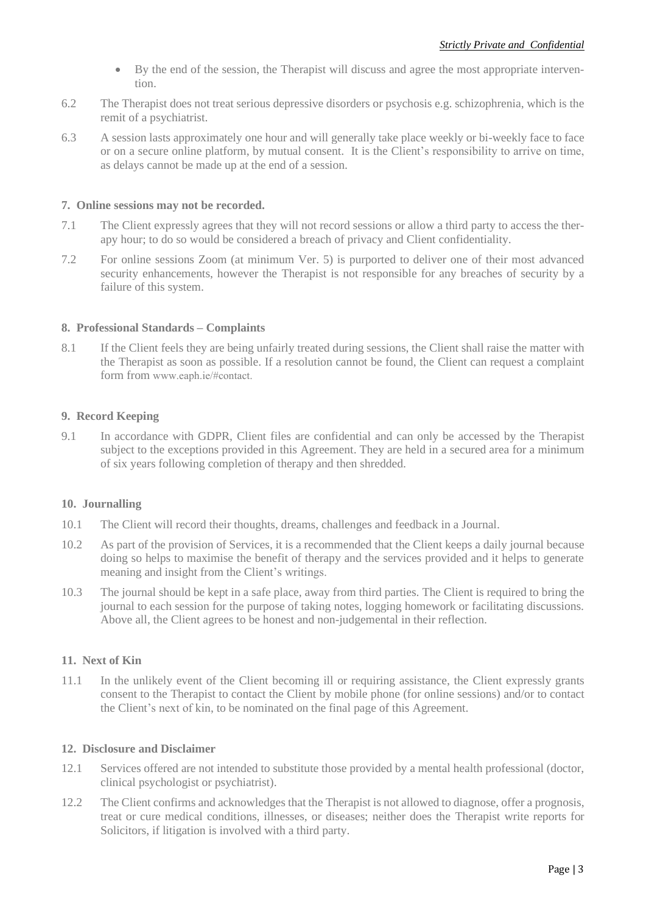- By the end of the session, the Therapist will discuss and agree the most appropriate intervention.
- 6.2 The Therapist does not treat serious depressive disorders or psychosis e.g. schizophrenia, which is the remit of a psychiatrist.
- 6.3 A session lasts approximately one hour and will generally take place weekly or bi-weekly face to face or on a secure online platform, by mutual consent. It is the Client's responsibility to arrive on time, as delays cannot be made up at the end of a session.

## **7. Online sessions may not be recorded.**

- 7.1 The Client expressly agrees that they will not record sessions or allow a third party to access the therapy hour; to do so would be considered a breach of privacy and Client confidentiality.
- 7.2 For online sessions Zoom (at minimum Ver. 5) is purported to deliver one of their most advanced security enhancements, however the Therapist is not responsible for any breaches of security by a failure of this system.

## **8. Professional Standards – Complaints**

8.1 If the Client feels they are being unfairly treated during sessions, the Client shall raise the matter with the Therapist as soon as possible. If a resolution cannot be found, the Client can request a complaint form from [www.eaph.ie/#contact.](http://www.eaph.ie/#contact)

## **9. Record Keeping**

9.1 In accordance with GDPR, Client files are confidential and can only be accessed by the Therapist subject to the exceptions provided in this Agreement. They are held in a secured area for a minimum of six years following completion of therapy and then shredded.

## **10. Journalling**

- 10.1 The Client will record their thoughts, dreams, challenges and feedback in a Journal.
- 10.2 As part of the provision of Services, it is a recommended that the Client keeps a daily journal because doing so helps to maximise the benefit of therapy and the services provided and it helps to generate meaning and insight from the Client's writings.
- 10.3 The journal should be kept in a safe place, away from third parties. The Client is required to bring the journal to each session for the purpose of taking notes, logging homework or facilitating discussions. Above all, the Client agrees to be honest and non-judgemental in their reflection.

## **11. Next of Kin**

11.1 In the unlikely event of the Client becoming ill or requiring assistance, the Client expressly grants consent to the Therapist to contact the Client by mobile phone (for online sessions) and/or to contact the Client's next of kin, to be nominated on the final page of this Agreement.

## **12. Disclosure and Disclaimer**

- 12.1 Services offered are not intended to substitute those provided by a mental health professional (doctor, clinical psychologist or psychiatrist).
- 12.2 The Client confirms and acknowledges that the Therapist is not allowed to diagnose, offer a prognosis, treat or cure medical conditions, illnesses, or diseases; neither does the Therapist write reports for Solicitors, if litigation is involved with a third party.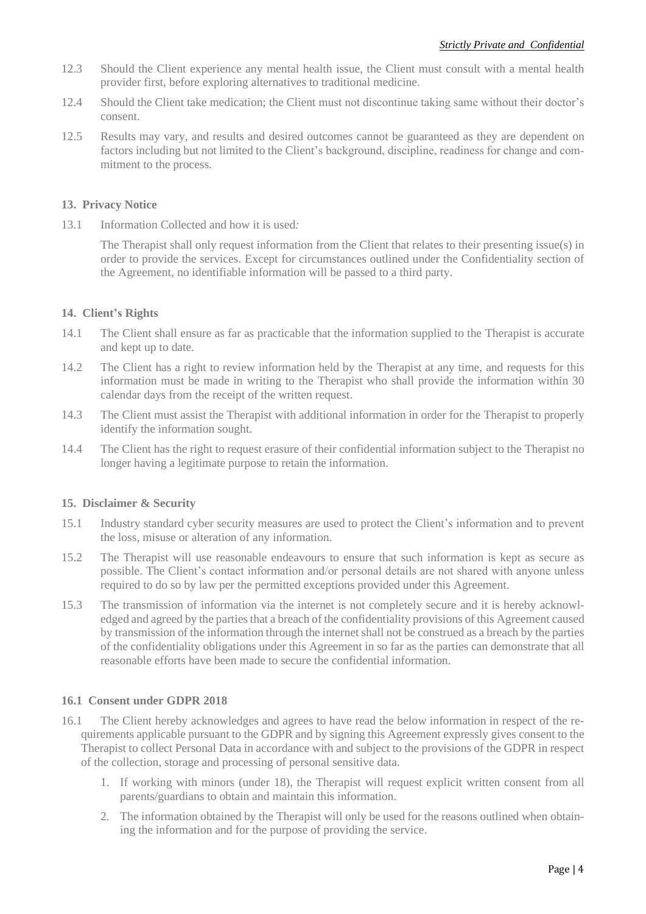- 12.3 Should the Client experience any mental health issue, the Client must consult with a mental health provider first, before exploring alternatives to traditional medicine.
- 12.4 Should the Client take medication; the Client must not discontinue taking same without their doctor's consent.
- 12.5 Results may vary, and results and desired outcomes cannot be guaranteed as they are dependent on factors including but not limited to the Client's background, discipline, readiness for change and commitment to the process.

### **13. Privacy Notice**

13.1 Information Collected and how it is used*:*

The Therapist shall only request information from the Client that relates to their presenting issue(s) in order to provide the services. Except for circumstances outlined under the Confidentiality section of the Agreement, no identifiable information will be passed to a third party.

## **14. Client's Rights**

- 14.1 The Client shall ensure as far as practicable that the information supplied to the Therapist is accurate and kept up to date.
- 14.2 The Client has a right to review information held by the Therapist at any time, and requests for this information must be made in writing to the Therapist who shall provide the information within 30 calendar days from the receipt of the written request.
- 14.3 The Client must assist the Therapist with additional information in order for the Therapist to properly identify the information sought.
- 14.4 The Client has the right to request erasure of their confidential information subject to the Therapist no longer having a legitimate purpose to retain the information.

#### **15. Disclaimer & Security**

- 15.1 Industry standard cyber security measures are used to protect the Client's information and to prevent the loss, misuse or alteration of any information.
- 15.2 The Therapist will use reasonable endeavours to ensure that such information is kept as secure as possible. The Client's contact information and/or personal details are not shared with anyone unless required to do so by law per the permitted exceptions provided under this Agreement.
- 15.3 The transmission of information via the internet is not completely secure and it is hereby acknowledged and agreed by the parties that a breach of the confidentiality provisions of this Agreement caused by transmission of the information through the internet shall not be construed as a breach by the parties of the confidentiality obligations under this Agreement in so far as the parties can demonstrate that all reasonable efforts have been made to secure the confidential information.

#### **16.1 Consent under GDPR 2018**

- 16.1 The Client hereby acknowledges and agrees to have read the below information in respect of the requirements applicable pursuant to the GDPR and by signing this Agreement expressly gives consent to the Therapist to collect Personal Data in accordance with and subject to the provisions of the GDPR in respect of the collection, storage and processing of personal sensitive data.
	- 1. If working with minors (under 18), the Therapist will request explicit written consent from all parents/guardians to obtain and maintain this information.
	- 2. The information obtained by the Therapist will only be used for the reasons outlined when obtaining the information and for the purpose of providing the service.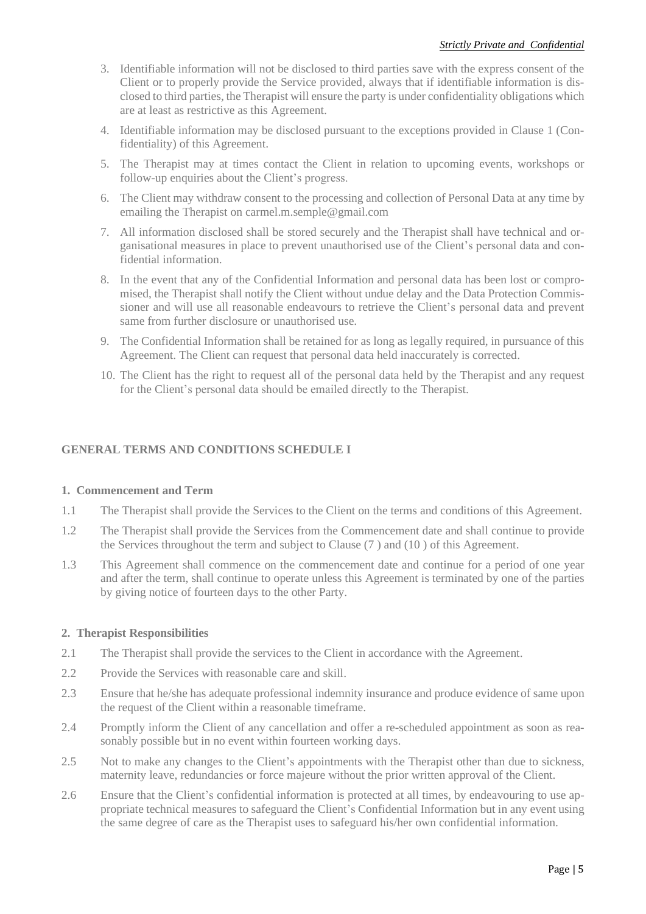- 3. Identifiable information will not be disclosed to third parties save with the express consent of the Client or to properly provide the Service provided, always that if identifiable information is disclosed to third parties, the Therapist will ensure the party is under confidentiality obligations which are at least as restrictive as this Agreement.
- 4. Identifiable information may be disclosed pursuant to the exceptions provided in Clause 1 (Confidentiality) of this Agreement.
- 5. The Therapist may at times contact the Client in relation to upcoming events, workshops or follow-up enquiries about the Client's progress.
- 6. The Client may withdraw consent to the processing and collection of Personal Data at any time by emailing the Therapist on carmel.m.semple@gmail.com
- 7. All information disclosed shall be stored securely and the Therapist shall have technical and organisational measures in place to prevent unauthorised use of the Client's personal data and confidential information.
- 8. In the event that any of the Confidential Information and personal data has been lost or compromised, the Therapist shall notify the Client without undue delay and the Data Protection Commissioner and will use all reasonable endeavours to retrieve the Client's personal data and prevent same from further disclosure or unauthorised use.
- 9. The Confidential Information shall be retained for as long as legally required, in pursuance of this Agreement. The Client can request that personal data held inaccurately is corrected.
- 10. The Client has the right to request all of the personal data held by the Therapist and any request for the Client's personal data should be emailed directly to the Therapist.

## **GENERAL TERMS AND CONDITIONS SCHEDULE I**

#### **1. Commencement and Term**

- 1.1 The Therapist shall provide the Services to the Client on the terms and conditions of this Agreement.
- 1.2 The Therapist shall provide the Services from the Commencement date and shall continue to provide the Services throughout the term and subject to Clause (7 ) and (10 ) of this Agreement.
- 1.3 This Agreement shall commence on the commencement date and continue for a period of one year and after the term, shall continue to operate unless this Agreement is terminated by one of the parties by giving notice of fourteen days to the other Party.

#### **2. Therapist Responsibilities**

- 2.1 The Therapist shall provide the services to the Client in accordance with the Agreement.
- 2.2 Provide the Services with reasonable care and skill.
- 2.3 Ensure that he/she has adequate professional indemnity insurance and produce evidence of same upon the request of the Client within a reasonable timeframe.
- 2.4 Promptly inform the Client of any cancellation and offer a re-scheduled appointment as soon as reasonably possible but in no event within fourteen working days.
- 2.5 Not to make any changes to the Client's appointments with the Therapist other than due to sickness, maternity leave, redundancies or force majeure without the prior written approval of the Client.
- 2.6 Ensure that the Client's confidential information is protected at all times, by endeavouring to use appropriate technical measures to safeguard the Client's Confidential Information but in any event using the same degree of care as the Therapist uses to safeguard his/her own confidential information.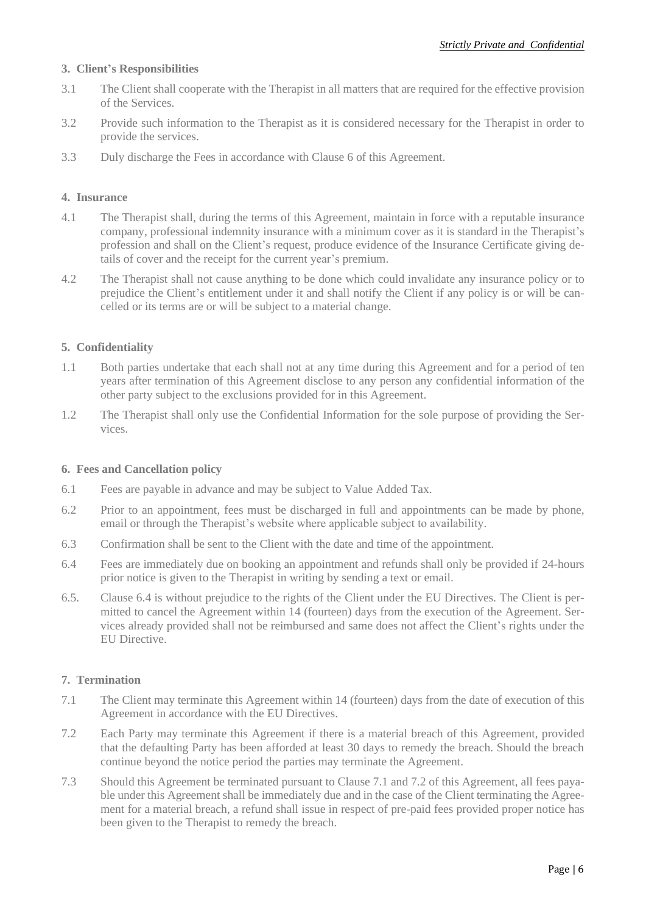#### **3. Client's Responsibilities**

- 3.1 The Client shall cooperate with the Therapist in all matters that are required for the effective provision of the Services.
- 3.2 Provide such information to the Therapist as it is considered necessary for the Therapist in order to provide the services.
- 3.3 Duly discharge the Fees in accordance with Clause 6 of this Agreement.

### **4. Insurance**

- 4.1 The Therapist shall, during the terms of this Agreement, maintain in force with a reputable insurance company, professional indemnity insurance with a minimum cover as it is standard in the Therapist's profession and shall on the Client's request, produce evidence of the Insurance Certificate giving details of cover and the receipt for the current year's premium.
- 4.2 The Therapist shall not cause anything to be done which could invalidate any insurance policy or to prejudice the Client's entitlement under it and shall notify the Client if any policy is or will be cancelled or its terms are or will be subject to a material change.

## **5. Confidentiality**

- 1.1 Both parties undertake that each shall not at any time during this Agreement and for a period of ten years after termination of this Agreement disclose to any person any confidential information of the other party subject to the exclusions provided for in this Agreement.
- 1.2 The Therapist shall only use the Confidential Information for the sole purpose of providing the Services.

#### **6. Fees and Cancellation policy**

- 6.1 Fees are payable in advance and may be subject to Value Added Tax.
- 6.2 Prior to an appointment, fees must be discharged in full and appointments can be made by phone, email or through the Therapist's website where applicable subject to availability.
- 6.3 Confirmation shall be sent to the Client with the date and time of the appointment.
- 6.4 Fees are immediately due on booking an appointment and refunds shall only be provided if 24-hours prior notice is given to the Therapist in writing by sending a text or email.
- 6.5. Clause 6.4 is without prejudice to the rights of the Client under the EU Directives. The Client is permitted to cancel the Agreement within 14 (fourteen) days from the execution of the Agreement. Services already provided shall not be reimbursed and same does not affect the Client's rights under the EU Directive.

## **7. Termination**

- 7.1 The Client may terminate this Agreement within 14 (fourteen) days from the date of execution of this Agreement in accordance with the EU Directives.
- 7.2 Each Party may terminate this Agreement if there is a material breach of this Agreement, provided that the defaulting Party has been afforded at least 30 days to remedy the breach. Should the breach continue beyond the notice period the parties may terminate the Agreement.
- 7.3 Should this Agreement be terminated pursuant to Clause 7.1 and 7.2 of this Agreement, all fees payable under this Agreement shall be immediately due and in the case of the Client terminating the Agreement for a material breach, a refund shall issue in respect of pre-paid fees provided proper notice has been given to the Therapist to remedy the breach.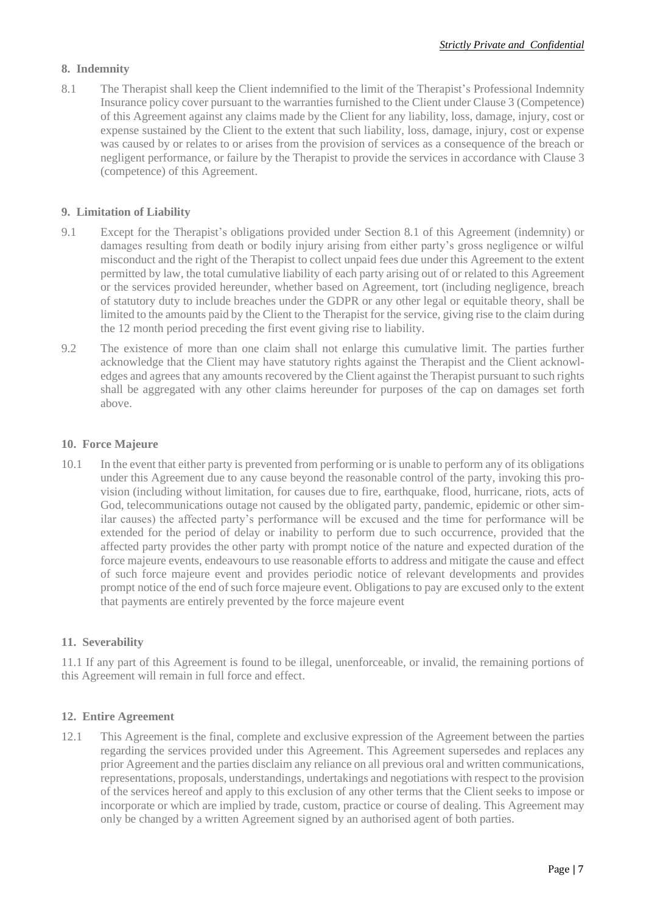## **8. Indemnity**

8.1 The Therapist shall keep the Client indemnified to the limit of the Therapist's Professional Indemnity Insurance policy cover pursuant to the warranties furnished to the Client under Clause 3 (Competence) of this Agreement against any claims made by the Client for any liability, loss, damage, injury, cost or expense sustained by the Client to the extent that such liability, loss, damage, injury, cost or expense was caused by or relates to or arises from the provision of services as a consequence of the breach or negligent performance, or failure by the Therapist to provide the services in accordance with Clause 3 (competence) of this Agreement.

### **9. Limitation of Liability**

- 9.1 Except for the Therapist's obligations provided under Section 8.1 of this Agreement (indemnity) or damages resulting from death or bodily injury arising from either party's gross negligence or wilful misconduct and the right of the Therapist to collect unpaid fees due under this Agreement to the extent permitted by law, the total cumulative liability of each party arising out of or related to this Agreement or the services provided hereunder, whether based on Agreement, tort (including negligence, breach of statutory duty to include breaches under the GDPR or any other legal or equitable theory, shall be limited to the amounts paid by the Client to the Therapist for the service, giving rise to the claim during the 12 month period preceding the first event giving rise to liability.
- 9.2 The existence of more than one claim shall not enlarge this cumulative limit. The parties further acknowledge that the Client may have statutory rights against the Therapist and the Client acknowledges and agrees that any amounts recovered by the Client against the Therapist pursuant to such rights shall be aggregated with any other claims hereunder for purposes of the cap on damages set forth above.

#### **10. Force Majeure**

10.1 In the event that either party is prevented from performing or is unable to perform any of its obligations under this Agreement due to any cause beyond the reasonable control of the party, invoking this provision (including without limitation, for causes due to fire, earthquake, flood, hurricane, riots, acts of God, telecommunications outage not caused by the obligated party, pandemic, epidemic or other similar causes) the affected party's performance will be excused and the time for performance will be extended for the period of delay or inability to perform due to such occurrence, provided that the affected party provides the other party with prompt notice of the nature and expected duration of the force majeure events, endeavours to use reasonable efforts to address and mitigate the cause and effect of such force majeure event and provides periodic notice of relevant developments and provides prompt notice of the end of such force majeure event. Obligations to pay are excused only to the extent that payments are entirely prevented by the force majeure event

#### **11. Severability**

11.1 If any part of this Agreement is found to be illegal, unenforceable, or invalid, the remaining portions of this Agreement will remain in full force and effect.

#### **12. Entire Agreement**

12.1 This Agreement is the final, complete and exclusive expression of the Agreement between the parties regarding the services provided under this Agreement. This Agreement supersedes and replaces any prior Agreement and the parties disclaim any reliance on all previous oral and written communications, representations, proposals, understandings, undertakings and negotiations with respect to the provision of the services hereof and apply to this exclusion of any other terms that the Client seeks to impose or incorporate or which are implied by trade, custom, practice or course of dealing. This Agreement may only be changed by a written Agreement signed by an authorised agent of both parties.